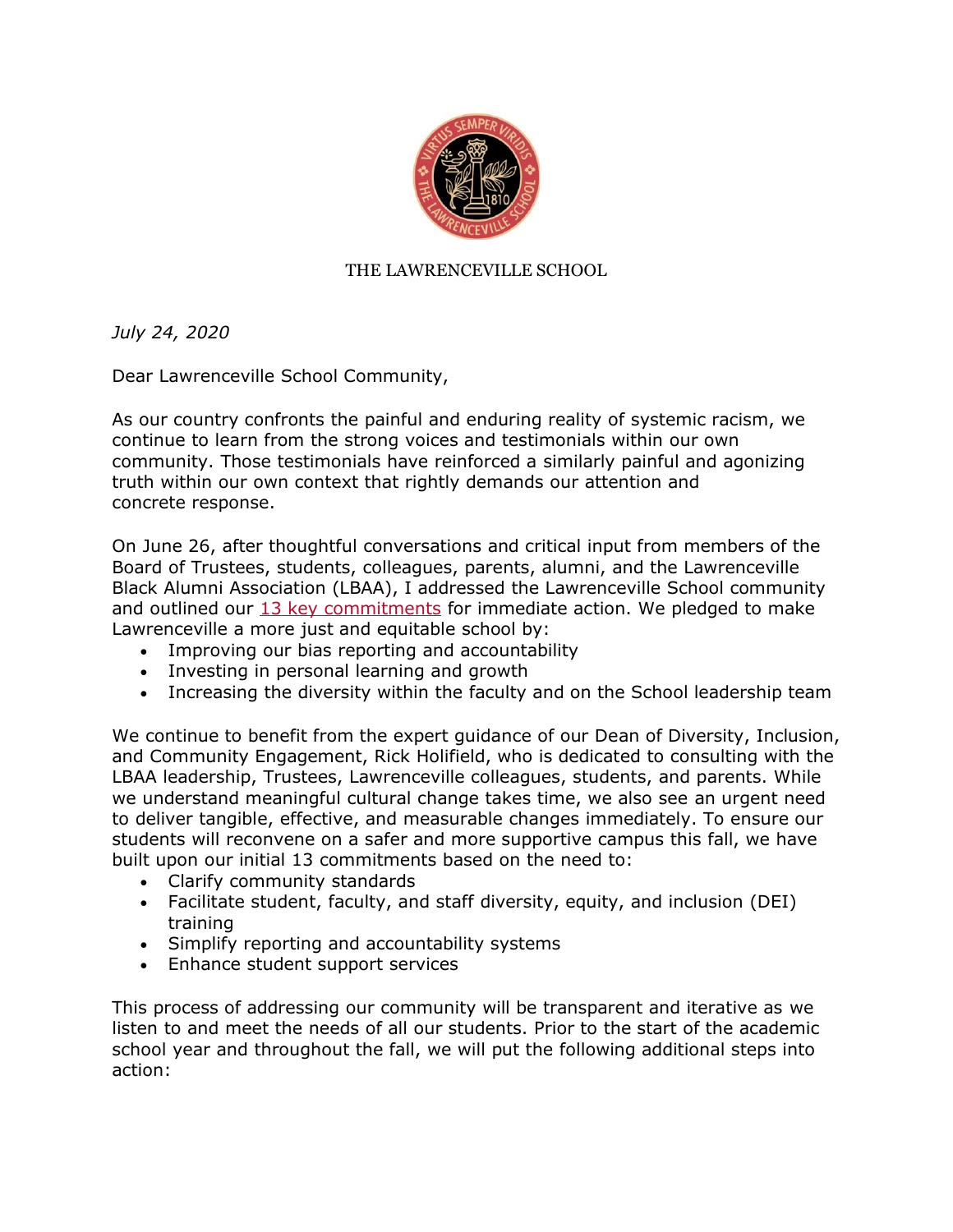

#### THE LAWRENCEVILLE SCHOOL

*July 24, 2020*

Dear Lawrenceville School Community,

As our country confronts the painful and enduring reality of systemic racism, we continue to learn from the strong voices and testimonials within our own community. Those testimonials have reinforced a similarly painful and agonizing truth within our own context that rightly demands our attention and concrete response.

On June 26, after thoughtful conversations and critical input from members of the Board of Trustees, students, colleagues, parents, alumni, and the Lawrenceville Black Alumni Association (LBAA), I addressed the Lawrenceville School community and outlined our [13 key commitments](https://lawrenceville.myschoolapp.com/ftpimages/928/download/download_5044792.pdf) for immediate action. We pledged to make Lawrenceville a more just and equitable school by:

- Improving our bias reporting and accountability
- Investing in personal learning and growth
- Increasing the diversity within the faculty and on the School leadership team

We continue to benefit from the expert guidance of our Dean of Diversity, Inclusion, and Community Engagement, Rick Holifield, who is dedicated to consulting with the LBAA leadership, Trustees, Lawrenceville colleagues, students, and parents. While we understand meaningful cultural change takes time, we also see an urgent need to deliver tangible, effective, and measurable changes immediately. To ensure our students will reconvene on a safer and more supportive campus this fall, we have built upon our initial 13 commitments based on the need to:

- Clarify community standards
- Facilitate student, faculty, and staff diversity, equity, and inclusion (DEI) training
- Simplify reporting and accountability systems
- Enhance student support services

This process of addressing our community will be transparent and iterative as we listen to and meet the needs of all our students. Prior to the start of the academic school year and throughout the fall, we will put the following additional steps into action: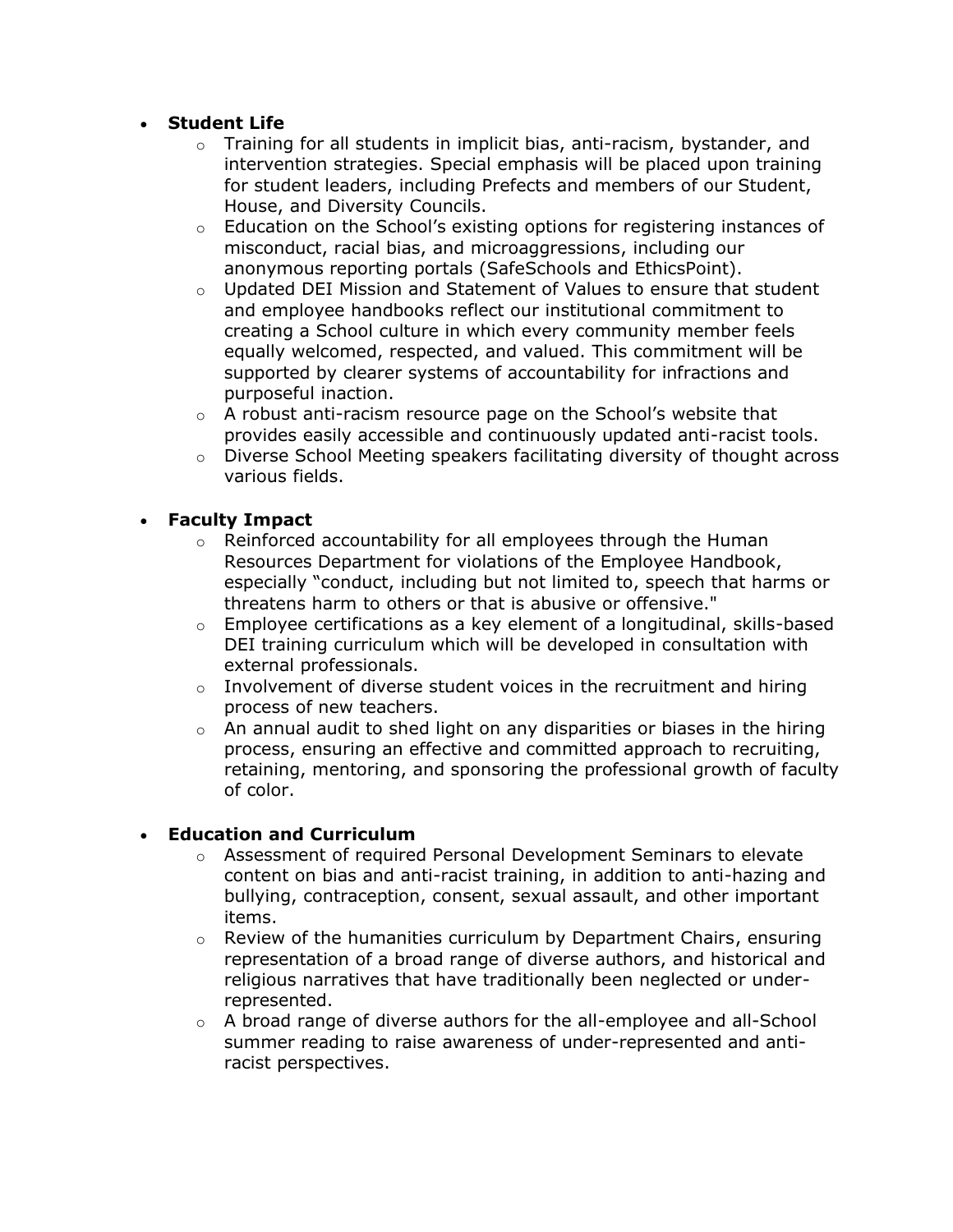### • **Student Life**

- $\circ$  Training for all students in implicit bias, anti-racism, bystander, and intervention strategies. Special emphasis will be placed upon training for student leaders, including Prefects and members of our Student, House, and Diversity Councils.
- $\circ$  Education on the School's existing options for registering instances of misconduct, racial bias, and microaggressions, including our anonymous reporting portals (SafeSchools and EthicsPoint).
- $\circ$  Updated DEI Mission and Statement of Values to ensure that student and employee handbooks reflect our institutional commitment to creating a School culture in which every community member feels equally welcomed, respected, and valued. This commitment will be supported by clearer systems of accountability for infractions and purposeful inaction.
- $\circ$  A robust anti-racism resource page on the School's website that provides easily accessible and continuously updated anti-racist tools.
- $\circ$  Diverse School Meeting speakers facilitating diversity of thought across various fields.

# • **Faculty Impact**

- o Reinforced accountability for all employees through the Human Resources Department for violations of the Employee Handbook, especially "conduct, including but not limited to, speech that harms or threatens harm to others or that is abusive or offensive."
- o Employee certifications as a key element of a longitudinal, skills-based DEI training curriculum which will be developed in consultation with external professionals.
- $\circ$  Involvement of diverse student voices in the recruitment and hiring process of new teachers.
- $\circ$  An annual audit to shed light on any disparities or biases in the hiring process, ensuring an effective and committed approach to recruiting, retaining, mentoring, and sponsoring the professional growth of faculty of color.

### • **Education and Curriculum**

- $\circ$  Assessment of required Personal Development Seminars to elevate content on bias and anti-racist training, in addition to anti-hazing and bullying, contraception, consent, sexual assault, and other important items.
- $\circ$  Review of the humanities curriculum by Department Chairs, ensuring representation of a broad range of diverse authors, and historical and religious narratives that have traditionally been neglected or underrepresented.
- $\circ$  A broad range of diverse authors for the all-employee and all-School summer reading to raise awareness of under-represented and antiracist perspectives.